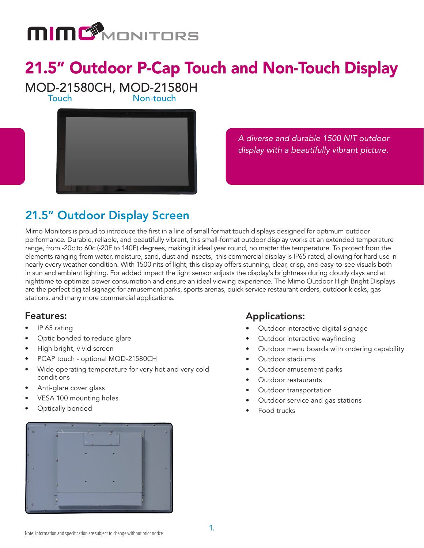

# 21.5" Outdoor P-Cap Touch and Non-Touch Display

MOD-21580CH, MOD-21580H

Non-touch



*A diverse and durable 1500 NIT outdoor display with a beautifully vibrant picture.* 

## 21.5" Outdoor Display Screen

Mimo Monitors is proud to introduce the first in a line of small format touch displays designed for optimum outdoor performance. Durable, reliable, and beautifully vibrant, this small-format outdoor display works at an extended temperature range, from -20c to 60c (-20F to 140F) degrees, making it ideal year round, no matter the temperature. To protect from the elements ranging from water, moisture, sand, dust and insects, this commercial display is IP65 rated, allowing for hard use in nearly every weather condition. With 1500 nits of light, this display offers stunning, clear, crisp, and easy-to-see visuals both in sun and ambient lighting. For added impact the light sensor adjusts the display's brightness during cloudy days and at nighttime to optimize power consumption and ensure an ideal viewing experience. The Mimo Outdoor High Bright Displays are the perfect digital signage for amusement parks, sports arenas, quick service restaurant orders, outdoor kiosks, gas stations, and many more commercial applications.

#### Features:

- IP 65 rating
- Optic bonded to reduce glare
- High bright, vivid screen
- PCAP touch optional MOD-21580CH
- Wide operating temperature for very hot and very cold conditions
- Anti-glare cover glass
- VESA 100 mounting holes
- Optically bonded

### Applications:

- Outdoor interactive digital signage
- Outdoor interactive wayfinding
- Outdoor menu boards with ordering capability
- Outdoor stadiums
- Outdoor amusement parks
- Outdoor restaurants
- Outdoor transportation
- Outdoor service and gas stations
- Food trucks